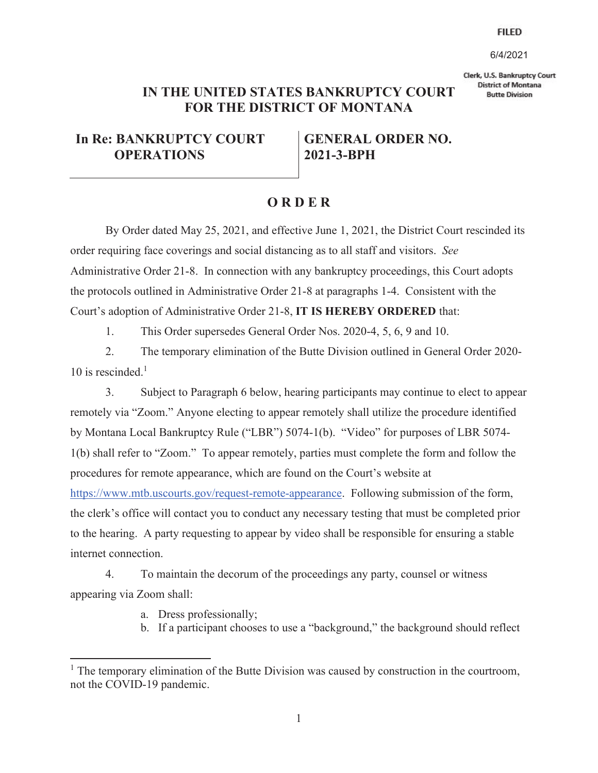## **FILED**

6/4/2021

Clerk, U.S. Bankruptcy Court **District of Montana Butte Division** 

## **IN THE UNITED STATES BANKRUPTCY COURT FOR THE DISTRICT OF MONTANA**

## **In Re: BANKRUPTCY COURT OPERATIONS**

**GENERAL ORDER NO. 2021-3-BPH** 

## **O R D E R**

 By Order dated May 25, 2021, and effective June 1, 2021, the District Court rescinded its order requiring face coverings and social distancing as to all staff and visitors. *See* Administrative Order 21-8. In connection with any bankruptcy proceedings, this Court adopts the protocols outlined in Administrative Order 21-8 at paragraphs 1-4. Consistent with the Court's adoption of Administrative Order 21-8, **IT IS HEREBY ORDERED** that:

1. This Order supersedes General Order Nos. 2020-4, 5, 6, 9 and 10.

2. The temporary elimination of the Butte Division outlined in General Order 2020- 10 is rescinded. $<sup>1</sup>$ </sup>

3. Subject to Paragraph 6 below, hearing participants may continue to elect to appear remotely via "Zoom." Anyone electing to appear remotely shall utilize the procedure identified by Montana Local Bankruptcy Rule ("LBR") 5074-1(b). "Video" for purposes of LBR 5074- 1(b) shall refer to "Zoom." To appear remotely, parties must complete the form and follow the procedures for remote appearance, which are found on the Court's website at https://www.mtb.uscourts.gov/request-remote-appearance. Following submission of the form, the clerk's office will contact you to conduct any necessary testing that must be completed prior to the hearing. A party requesting to appear by video shall be responsible for ensuring a stable internet connection.

4. To maintain the decorum of the proceedings any party, counsel or witness appearing via Zoom shall:

- a. Dress professionally;
- b. If a participant chooses to use a "background," the background should reflect

<sup>&</sup>lt;sup>1</sup> The temporary elimination of the Butte Division was caused by construction in the courtroom, not the COVID-19 pandemic.